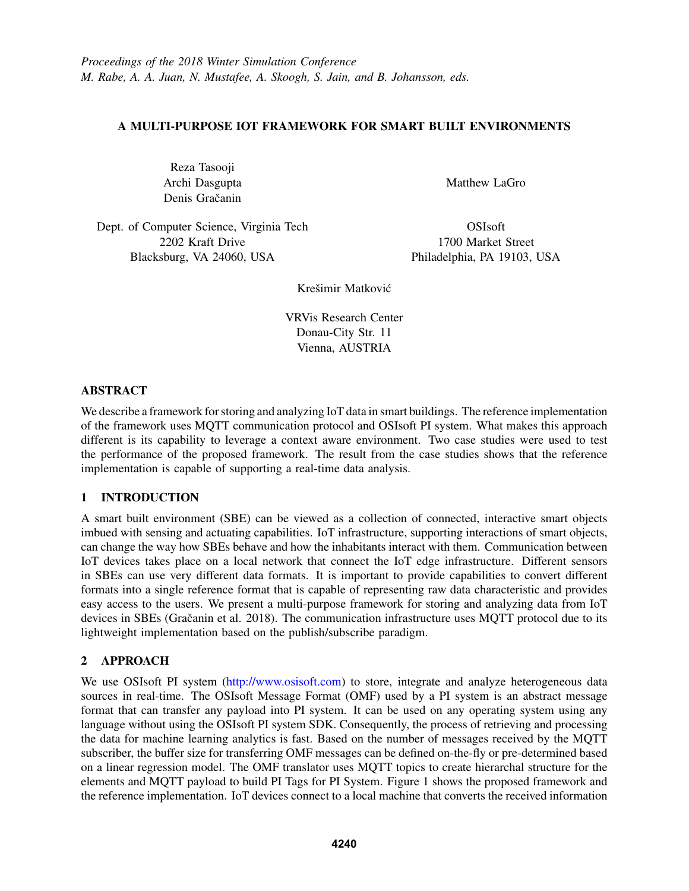# A MULTI-PURPOSE IOT FRAMEWORK FOR SMART BUILT ENVIRONMENTS

Reza Tasooji Archi Dasgupta Denis Gračanin

Matthew LaGro

Dept. of Computer Science, Virginia Tech 2202 Kraft Drive Blacksburg, VA 24060, USA

OSIsoft 1700 Market Street Philadelphia, PA 19103, USA

Krešimir Matković

VRVis Research Center Donau-City Str. 11 Vienna, AUSTRIA

### ABSTRACT

We describe a framework for storing and analyzing IoT data in smart buildings. The reference implementation of the framework uses MQTT communication protocol and OSIsoft PI system. What makes this approach different is its capability to leverage a context aware environment. Two case studies were used to test the performance of the proposed framework. The result from the case studies shows that the reference implementation is capable of supporting a real-time data analysis.

# 1 INTRODUCTION

A smart built environment (SBE) can be viewed as a collection of connected, interactive smart objects imbued with sensing and actuating capabilities. IoT infrastructure, supporting interactions of smart objects, can change the way how SBEs behave and how the inhabitants interact with them. Communication between IoT devices takes place on a local network that connect the IoT edge infrastructure. Different sensors in SBEs can use very different data formats. It is important to provide capabilities to convert different formats into a single reference format that is capable of representing raw data characteristic and provides easy access to the users. We present a multi-purpose framework for storing and analyzing data from IoT devices in SBEs (Gračanin et al. 2018). The communication infrastructure uses MQTT protocol due to its lightweight implementation based on the publish/subscribe paradigm.

# 2 APPROACH

We use OSIsoft PI system (http://www.osisoft.com) to store, integrate and analyze heterogeneous data sources in real-time. The OSIsoft Message Format (OMF) used by a PI system is an abstract message format that can transfer any payload into PI system. It can be used on any operating system using any language without using the OSIsoft PI system SDK. Consequently, the process of retrieving and processing the data for machine learning analytics is fast. Based on the number of messages received by the MQTT subscriber, the buffer size for transferring OMF messages can be defined on-the-fly or pre-determined based on a linear regression model. The OMF translator uses MQTT topics to create hierarchal structure for the elements and MQTT payload to build PI Tags for PI System. Figure 1 shows the proposed framework and the reference implementation. IoT devices connect to a local machine that converts the received information